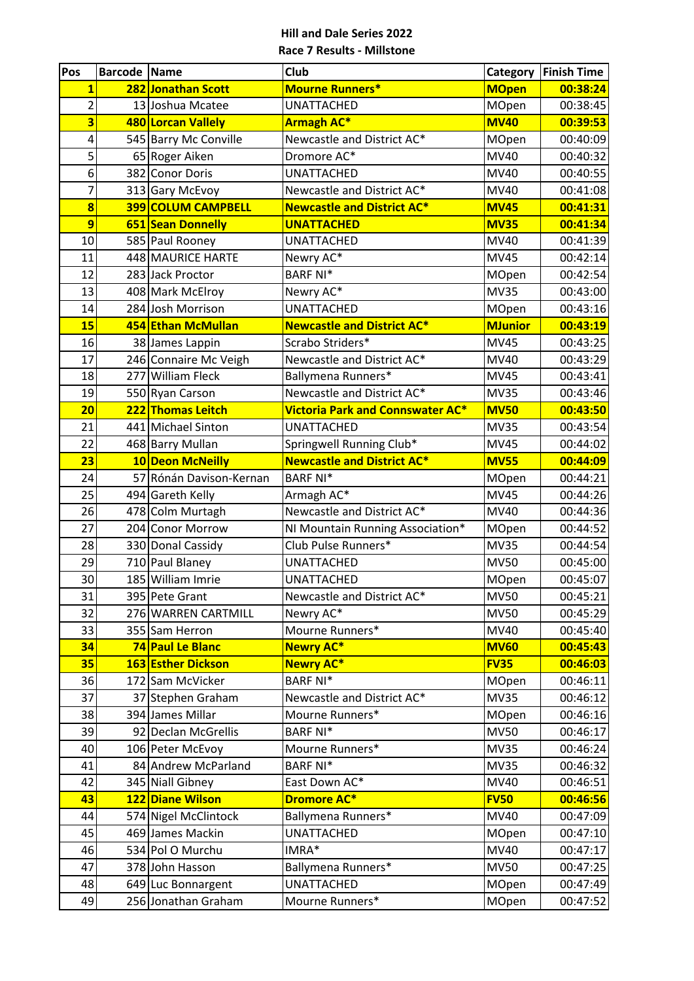| Pos                     | <b>Barcode Name</b> |                                        | Club                                    | Category                   | <b>Finish Time</b>   |
|-------------------------|---------------------|----------------------------------------|-----------------------------------------|----------------------------|----------------------|
| $\overline{\mathbf{1}}$ |                     | 282 Jonathan Scott                     | <b>Mourne Runners*</b>                  | <b>MOpen</b>               | 00:38:24             |
| $\overline{2}$          |                     | 13 Joshua Mcatee                       | <b>UNATTACHED</b>                       | MOpen                      | 00:38:45             |
| 3                       |                     | 480 Lorcan Vallely                     | Armagh AC*                              | <b>MV40</b>                | 00:39:53             |
| 4                       |                     | 545 Barry Mc Conville                  | Newcastle and District AC*              | MOpen                      | 00:40:09             |
| 5                       |                     | 65 Roger Aiken                         | Dromore AC*                             | <b>MV40</b>                | 00:40:32             |
| 6                       |                     | 382 Conor Doris                        | <b>UNATTACHED</b>                       | MV40                       | 00:40:55             |
| 7                       |                     | 313 Gary McEvoy                        | Newcastle and District AC*              | <b>MV40</b>                | 00:41:08             |
| $\overline{\mathbf{8}}$ |                     | <b>399 COLUM CAMPBELL</b>              | <b>Newcastle and District AC*</b>       | <b>MV45</b>                | 00:41:31             |
| $\overline{9}$          |                     | 651 Sean Donnelly                      | <b>UNATTACHED</b>                       | <b>MV35</b>                | 00:41:34             |
| 10                      |                     | 585 Paul Rooney                        | <b>UNATTACHED</b>                       | <b>MV40</b>                | 00:41:39             |
| 11                      |                     | 448 MAURICE HARTE                      | Newry AC*                               | <b>MV45</b>                | 00:42:14             |
| 12                      |                     | 283 Jack Proctor                       | <b>BARF NI*</b>                         | MOpen                      | 00:42:54             |
| 13                      |                     | 408 Mark McElroy                       | Newry AC*                               | <b>MV35</b>                | 00:43:00             |
| 14                      |                     | 284 Josh Morrison                      | <b>UNATTACHED</b>                       | MOpen                      | 00:43:16             |
| 15                      |                     | 454 Ethan McMullan                     | <b>Newcastle and District AC*</b>       | <b>MJunior</b>             | 00:43:19             |
| 16                      |                     | 38 James Lappin                        | Scrabo Striders*                        | <b>MV45</b>                | 00:43:25             |
| 17                      |                     | 246 Connaire Mc Veigh                  | Newcastle and District AC*              | <b>MV40</b>                | 00:43:29             |
| 18                      |                     | 277 William Fleck                      | Ballymena Runners*                      | <b>MV45</b>                | 00:43:41             |
| 19                      |                     | 550 Ryan Carson                        | Newcastle and District AC*              | <b>MV35</b>                | 00:43:46             |
| 20                      |                     | 222 Thomas Leitch                      | <b>Victoria Park and Connswater AC*</b> | <b>MV50</b>                | 00:43:50             |
| 21                      |                     | 441 Michael Sinton                     | <b>UNATTACHED</b>                       | <b>MV35</b>                | 00:43:54             |
| 22                      |                     | 468 Barry Mullan                       | Springwell Running Club*                | <b>MV45</b>                | 00:44:02             |
| 23                      |                     | 10 Deon McNeilly                       | <b>Newcastle and District AC*</b>       | <b>MV55</b>                | 00:44:09             |
| 24                      |                     | 57 Rónán Davison-Kernan                | <b>BARF NI*</b>                         | MOpen                      | 00:44:21             |
| 25                      |                     | 494 Gareth Kelly                       | Armagh AC*                              | <b>MV45</b>                | 00:44:26             |
| 26                      |                     | 478 Colm Murtagh                       | Newcastle and District AC*              | <b>MV40</b>                | 00:44:36             |
| 27                      |                     | 204 Conor Morrow                       | NI Mountain Running Association*        | <b>MOpen</b>               | 00:44:52             |
| 28                      |                     | 330 Donal Cassidy                      | Club Pulse Runners*                     | <b>MV35</b>                | 00:44:54             |
| 29                      |                     | 710 Paul Blaney                        | <b>UNATTACHED</b>                       | <b>MV50</b>                | 00:45:00             |
| 30                      |                     | 185 William Imrie                      | <b>UNATTACHED</b>                       | MOpen                      | 00:45:07             |
| 31                      |                     | 395 Pete Grant                         | Newcastle and District AC*              | <b>MV50</b>                | 00:45:21             |
| 32                      |                     | 276 WARREN CARTMILL                    | Newry AC*                               | <b>MV50</b>                | 00:45:29             |
| 33                      |                     | 355 Sam Herron                         | Mourne Runners*                         | MV40                       | 00:45:40             |
| 34                      |                     | 74 Paul Le Blanc                       | <b>Newry AC*</b><br><b>Newry AC*</b>    | <b>MV60</b><br><b>FV35</b> | 00:45:43<br>00:46:03 |
| 35<br>36                |                     | 163 Esther Dickson<br>172 Sam McVicker | <b>BARF NI*</b>                         | MOpen                      | 00:46:11             |
| 37                      |                     | 37 Stephen Graham                      | Newcastle and District AC*              | <b>MV35</b>                | 00:46:12             |
| 38                      |                     | 394 James Millar                       | Mourne Runners*                         | MOpen                      | 00:46:16             |
| 39                      |                     | 92 Declan McGrellis                    | <b>BARF NI*</b>                         | <b>MV50</b>                | 00:46:17             |
| 40                      |                     | 106 Peter McEvoy                       | Mourne Runners*                         | <b>MV35</b>                | 00:46:24             |
| 41                      |                     | 84 Andrew McParland                    | <b>BARF NI*</b>                         | <b>MV35</b>                | 00:46:32             |
| 42                      |                     | 345 Niall Gibney                       | East Down AC*                           | MV40                       | 00:46:51             |
| 43                      |                     | 122 Diane Wilson                       | <b>Dromore AC*</b>                      | <b>FV50</b>                | 00:46:56             |
| 44                      |                     | 574 Nigel McClintock                   | Ballymena Runners*                      | MV40                       | 00:47:09             |
| 45                      |                     | 469 James Mackin                       | <b>UNATTACHED</b>                       | MOpen                      | 00:47:10             |
| 46                      |                     | 534 Pol O Murchu                       | IMRA*                                   | MV40                       | 00:47:17             |
| 47                      |                     | 378 John Hasson                        | Ballymena Runners*                      | <b>MV50</b>                | 00:47:25             |
| 48                      |                     | 649 Luc Bonnargent                     | <b>UNATTACHED</b>                       | MOpen                      | 00:47:49             |
| 49                      |                     | 256 Jonathan Graham                    | Mourne Runners*                         | MOpen                      | 00:47:52             |
|                         |                     |                                        |                                         |                            |                      |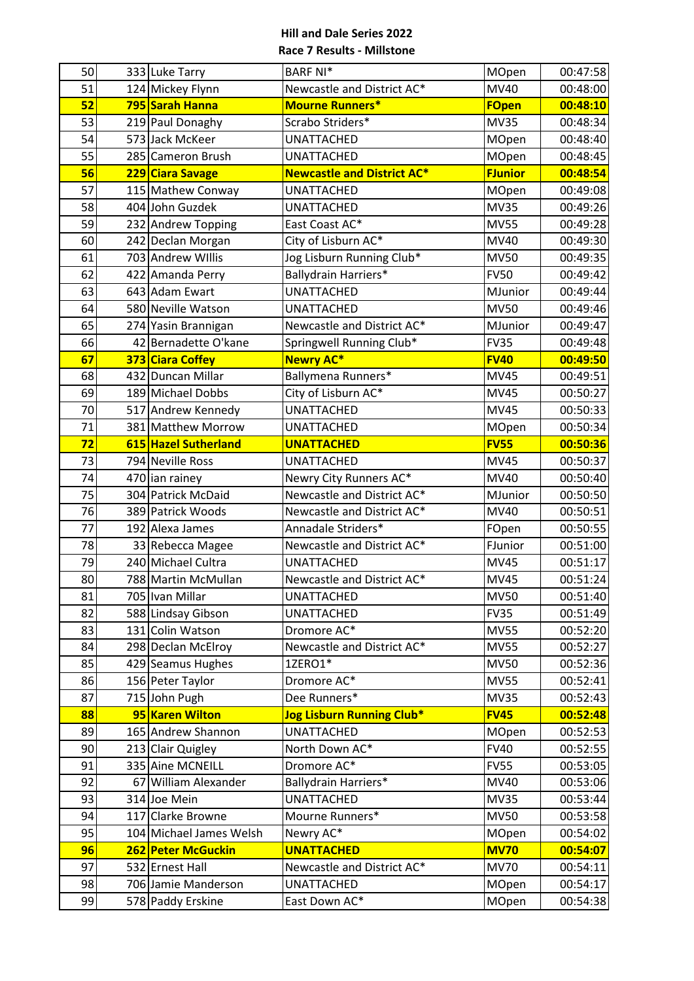| 50 | 333 Luke Tarry          | <b>BARF NI*</b>                   | MOpen          | 00:47:58 |
|----|-------------------------|-----------------------------------|----------------|----------|
| 51 | 124 Mickey Flynn        | Newcastle and District AC*        | <b>MV40</b>    | 00:48:00 |
| 52 | 795 Sarah Hanna         | <b>Mourne Runners*</b>            | <b>FOpen</b>   | 00:48:10 |
| 53 | 219 Paul Donaghy        | Scrabo Striders*                  | <b>MV35</b>    | 00:48:34 |
| 54 | 573 Jack McKeer         | UNATTACHED                        | MOpen          | 00:48:40 |
| 55 | 285 Cameron Brush       | <b>UNATTACHED</b>                 | MOpen          | 00:48:45 |
| 56 | 229 Ciara Savage        | <b>Newcastle and District AC*</b> | <b>FJunior</b> | 00:48:54 |
| 57 | 115 Mathew Conway       | <b>UNATTACHED</b>                 | MOpen          | 00:49:08 |
| 58 | 404 John Guzdek         | <b>UNATTACHED</b>                 | <b>MV35</b>    | 00:49:26 |
| 59 | 232 Andrew Topping      | East Coast AC*                    | <b>MV55</b>    | 00:49:28 |
| 60 | 242 Declan Morgan       | City of Lisburn AC*               | <b>MV40</b>    | 00:49:30 |
| 61 | 703 Andrew Willis       | Jog Lisburn Running Club*         | <b>MV50</b>    | 00:49:35 |
| 62 | 422 Amanda Perry        | Ballydrain Harriers*              | <b>FV50</b>    | 00:49:42 |
| 63 | 643 Adam Ewart          | <b>UNATTACHED</b>                 | MJunior        | 00:49:44 |
| 64 | 580 Neville Watson      | <b>UNATTACHED</b>                 | <b>MV50</b>    | 00:49:46 |
| 65 | 274 Yasin Brannigan     | Newcastle and District AC*        | MJunior        | 00:49:47 |
| 66 | 42 Bernadette O'kane    | Springwell Running Club*          | <b>FV35</b>    | 00:49:48 |
| 67 | 373 Ciara Coffey        | <b>Newry AC*</b>                  | <b>FV40</b>    | 00:49:50 |
| 68 | 432 Duncan Millar       | Ballymena Runners*                | <b>MV45</b>    | 00:49:51 |
| 69 | 189 Michael Dobbs       | City of Lisburn AC*               | <b>MV45</b>    | 00:50:27 |
| 70 | 517 Andrew Kennedy      | <b>UNATTACHED</b>                 | <b>MV45</b>    | 00:50:33 |
| 71 | 381 Matthew Morrow      | <b>UNATTACHED</b>                 | <b>MOpen</b>   | 00:50:34 |
| 72 | 615 Hazel Sutherland    | <b>UNATTACHED</b>                 | <b>FV55</b>    | 00:50:36 |
| 73 | 794 Neville Ross        | <b>UNATTACHED</b>                 | <b>MV45</b>    | 00:50:37 |
| 74 | 470 ian rainey          | Newry City Runners AC*            | <b>MV40</b>    | 00:50:40 |
| 75 | 304 Patrick McDaid      | Newcastle and District AC*        | MJunior        | 00:50:50 |
| 76 | 389 Patrick Woods       | Newcastle and District AC*        | <b>MV40</b>    | 00:50:51 |
| 77 | 192 Alexa James         | Annadale Striders*                | FOpen          | 00:50:55 |
| 78 | 33 Rebecca Magee        | Newcastle and District AC*        | FJunior        | 00:51:00 |
| 79 | 240 Michael Cultra      | UNATTACHED                        | <b>MV45</b>    | 00:51:17 |
| 80 | 788 Martin McMullan     | Newcastle and District AC*        | <b>MV45</b>    | 00:51:24 |
| 81 | 705 Ivan Millar         | <b>UNATTACHED</b>                 | <b>MV50</b>    | 00:51:40 |
| 82 | 588 Lindsay Gibson      | <b>UNATTACHED</b>                 | <b>FV35</b>    | 00:51:49 |
| 83 | 131 Colin Watson        | Dromore AC*                       | <b>MV55</b>    | 00:52:20 |
| 84 | 298 Declan McElroy      | Newcastle and District AC*        | <b>MV55</b>    | 00:52:27 |
| 85 | 429 Seamus Hughes       | 1ZERO1*                           | <b>MV50</b>    | 00:52:36 |
| 86 | 156 Peter Taylor        | Dromore AC*                       | <b>MV55</b>    | 00:52:41 |
| 87 | 715 John Pugh           | Dee Runners*                      | <b>MV35</b>    | 00:52:43 |
| 88 | 95 Karen Wilton         | Jog Lisburn Running Club*         | <b>FV45</b>    | 00:52:48 |
| 89 | 165 Andrew Shannon      | <b>UNATTACHED</b>                 | MOpen          | 00:52:53 |
| 90 | 213 Clair Quigley       | North Down AC*                    | <b>FV40</b>    | 00:52:55 |
| 91 | 335 Aine MCNEILL        | Dromore AC*                       | <b>FV55</b>    | 00:53:05 |
| 92 | 67 William Alexander    | Ballydrain Harriers*              | MV40           | 00:53:06 |
| 93 | 314 Joe Mein            | <b>UNATTACHED</b>                 | <b>MV35</b>    | 00:53:44 |
| 94 | 117 Clarke Browne       | Mourne Runners*                   | <b>MV50</b>    | 00:53:58 |
| 95 | 104 Michael James Welsh | Newry AC*                         | MOpen          | 00:54:02 |
| 96 | 262 Peter McGuckin      | <b>UNATTACHED</b>                 | <b>MV70</b>    | 00:54:07 |
| 97 | 532 Ernest Hall         | Newcastle and District AC*        | <b>MV70</b>    | 00:54:11 |
| 98 | 706 Jamie Manderson     | UNATTACHED                        | MOpen          | 00:54:17 |
| 99 | 578 Paddy Erskine       | East Down AC*                     | MOpen          | 00:54:38 |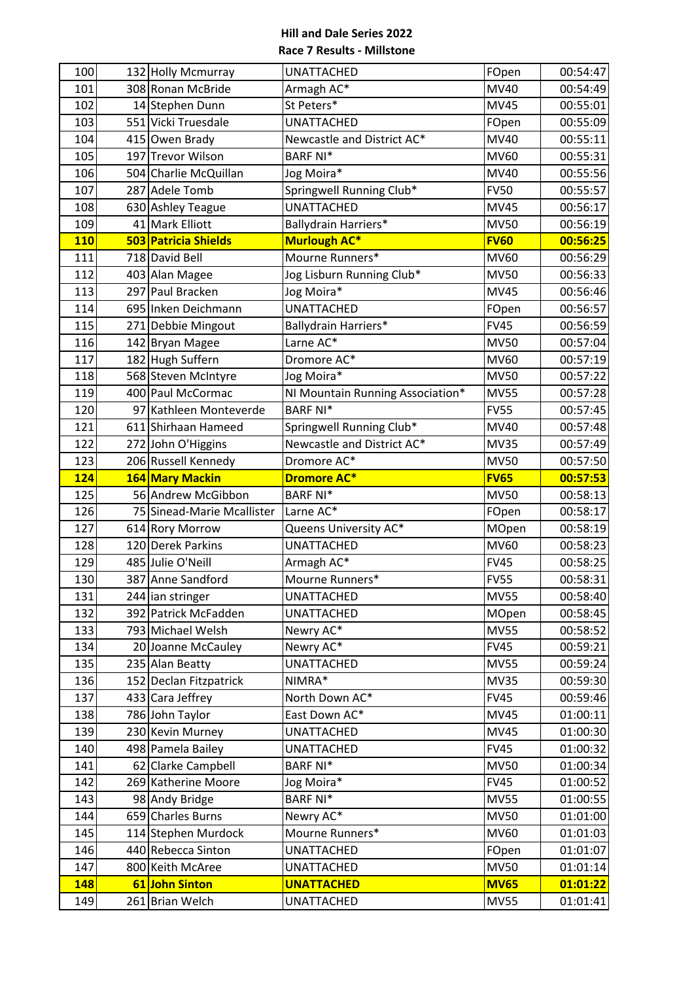| 100<br>UNATTACHED<br>132 Holly Mcmurray<br>101<br>308 Ronan McBride<br>Armagh AC*<br>St Peters*<br>102<br>14 Stephen Dunn<br>103<br>551 Vicki Truesdale<br><b>UNATTACHED</b><br>104<br>415 Owen Brady<br>Newcastle and District AC* |              |          |
|-------------------------------------------------------------------------------------------------------------------------------------------------------------------------------------------------------------------------------------|--------------|----------|
|                                                                                                                                                                                                                                     | FOpen        | 00:54:47 |
|                                                                                                                                                                                                                                     | <b>MV40</b>  | 00:54:49 |
|                                                                                                                                                                                                                                     | <b>MV45</b>  | 00:55:01 |
|                                                                                                                                                                                                                                     | FOpen        | 00:55:09 |
|                                                                                                                                                                                                                                     | MV40         | 00:55:11 |
| <b>BARF NI*</b><br>197 Trevor Wilson<br>105                                                                                                                                                                                         | <b>MV60</b>  | 00:55:31 |
| 106<br>504 Charlie McQuillan<br>Jog Moira*                                                                                                                                                                                          | <b>MV40</b>  | 00:55:56 |
| 107<br>287 Adele Tomb<br>Springwell Running Club*                                                                                                                                                                                   | <b>FV50</b>  | 00:55:57 |
| 108<br><b>UNATTACHED</b><br>630 Ashley Teague                                                                                                                                                                                       | <b>MV45</b>  | 00:56:17 |
| 109<br>41 Mark Elliott<br>Ballydrain Harriers*                                                                                                                                                                                      | <b>MV50</b>  | 00:56:19 |
| 503 Patricia Shields<br><b>110</b><br><b>Murlough AC*</b>                                                                                                                                                                           | <b>FV60</b>  | 00:56:25 |
| Mourne Runners*<br>111<br>718 David Bell                                                                                                                                                                                            | MV60         | 00:56:29 |
| 112<br>Jog Lisburn Running Club*<br>403 Alan Magee                                                                                                                                                                                  | <b>MV50</b>  | 00:56:33 |
| 113<br>297 Paul Bracken<br>Jog Moira*                                                                                                                                                                                               | <b>MV45</b>  | 00:56:46 |
| 114<br>695 Inken Deichmann<br><b>UNATTACHED</b>                                                                                                                                                                                     | FOpen        | 00:56:57 |
| 115<br>271 Debbie Mingout<br>Ballydrain Harriers*                                                                                                                                                                                   | <b>FV45</b>  | 00:56:59 |
| Larne AC*<br>116<br>142 Bryan Magee                                                                                                                                                                                                 | <b>MV50</b>  | 00:57:04 |
| 117<br>182 Hugh Suffern<br>Dromore AC*                                                                                                                                                                                              | MV60         | 00:57:19 |
| 118<br>568 Steven McIntyre<br>Jog Moira*                                                                                                                                                                                            | <b>MV50</b>  | 00:57:22 |
| 119<br>400 Paul McCormac<br>NI Mountain Running Association*                                                                                                                                                                        | <b>MV55</b>  | 00:57:28 |
| 120<br><b>BARF NI*</b><br>97 Kathleen Monteverde                                                                                                                                                                                    | <b>FV55</b>  | 00:57:45 |
| 121<br>611 Shirhaan Hameed<br>Springwell Running Club*                                                                                                                                                                              | MV40         | 00:57:48 |
| Newcastle and District AC*<br>122<br>272 John O'Higgins                                                                                                                                                                             | <b>MV35</b>  | 00:57:49 |
| 206 Russell Kennedy<br>123<br>Dromore AC*                                                                                                                                                                                           | <b>MV50</b>  | 00:57:50 |
| 164 Mary Mackin<br><b>124</b><br><b>Dromore AC*</b>                                                                                                                                                                                 | <b>FV65</b>  | 00:57:53 |
| 125<br><b>BARF NI*</b><br>56 Andrew McGibbon                                                                                                                                                                                        | <b>MV50</b>  | 00:58:13 |
| Larne AC*<br>126<br>75 Sinead-Marie Mcallister                                                                                                                                                                                      | FOpen        | 00:58:17 |
| 127<br>Queens University AC*<br>614 Rory Morrow                                                                                                                                                                                     | <b>MOpen</b> | 00:58:19 |
| 120 Derek Parkins<br>128<br><b>UNATTACHED</b>                                                                                                                                                                                       | <b>MV60</b>  | 00:58:23 |
| 129<br>485 Julie O'Neill<br>Armagh AC*                                                                                                                                                                                              | <b>FV45</b>  | 00:58:25 |
| 130<br>387 Anne Sandford<br>Mourne Runners*                                                                                                                                                                                         | <b>FV55</b>  | 00:58:31 |
| 131<br>244 ian stringer<br>UNATTACHED                                                                                                                                                                                               | <b>MV55</b>  | 00:58:40 |
|                                                                                                                                                                                                                                     | <b>MOpen</b> |          |
| 132<br>392 Patrick McFadden<br>UNATTACHED                                                                                                                                                                                           |              | 00:58:45 |
| 133<br>793 Michael Welsh<br>Newry AC*                                                                                                                                                                                               | <b>MV55</b>  | 00:58:52 |
| Newry AC*<br>134<br>20 Joanne McCauley                                                                                                                                                                                              | <b>FV45</b>  | 00:59:21 |
| 135<br>235 Alan Beatty<br><b>UNATTACHED</b>                                                                                                                                                                                         | <b>MV55</b>  | 00:59:24 |
| 136<br>152 Declan Fitzpatrick<br>NIMRA*                                                                                                                                                                                             | <b>MV35</b>  | 00:59:30 |
| 137<br>433 Cara Jeffrey<br>North Down AC*                                                                                                                                                                                           | <b>FV45</b>  | 00:59:46 |
| 138<br>786 John Taylor<br>East Down AC*                                                                                                                                                                                             | <b>MV45</b>  | 01:00:11 |
| 139<br>230 Kevin Murney<br>UNATTACHED                                                                                                                                                                                               | <b>MV45</b>  | 01:00:30 |
| 498 Pamela Bailey<br>140<br><b>UNATTACHED</b>                                                                                                                                                                                       | <b>FV45</b>  | 01:00:32 |
| 62 Clarke Campbell<br><b>BARF NI*</b><br>141                                                                                                                                                                                        | <b>MV50</b>  | 01:00:34 |
| 269 Katherine Moore<br>Jog Moira*<br>142                                                                                                                                                                                            | <b>FV45</b>  | 01:00:52 |
| <b>BARF NI*</b><br>143<br>98 Andy Bridge                                                                                                                                                                                            | <b>MV55</b>  | 01:00:55 |
| 659 Charles Burns<br>Newry AC*<br>144                                                                                                                                                                                               | <b>MV50</b>  | 01:01:00 |
| 145<br>114 Stephen Murdock<br>Mourne Runners*                                                                                                                                                                                       | <b>MV60</b>  | 01:01:03 |
| 146<br>440 Rebecca Sinton<br><b>UNATTACHED</b>                                                                                                                                                                                      | FOpen        | 01:01:07 |
| 800 Keith McAree<br>147<br><b>UNATTACHED</b>                                                                                                                                                                                        | <b>MV50</b>  | 01:01:14 |
| 61 John Sinton<br>148<br><b>UNATTACHED</b>                                                                                                                                                                                          | <b>MV65</b>  | 01:01:22 |